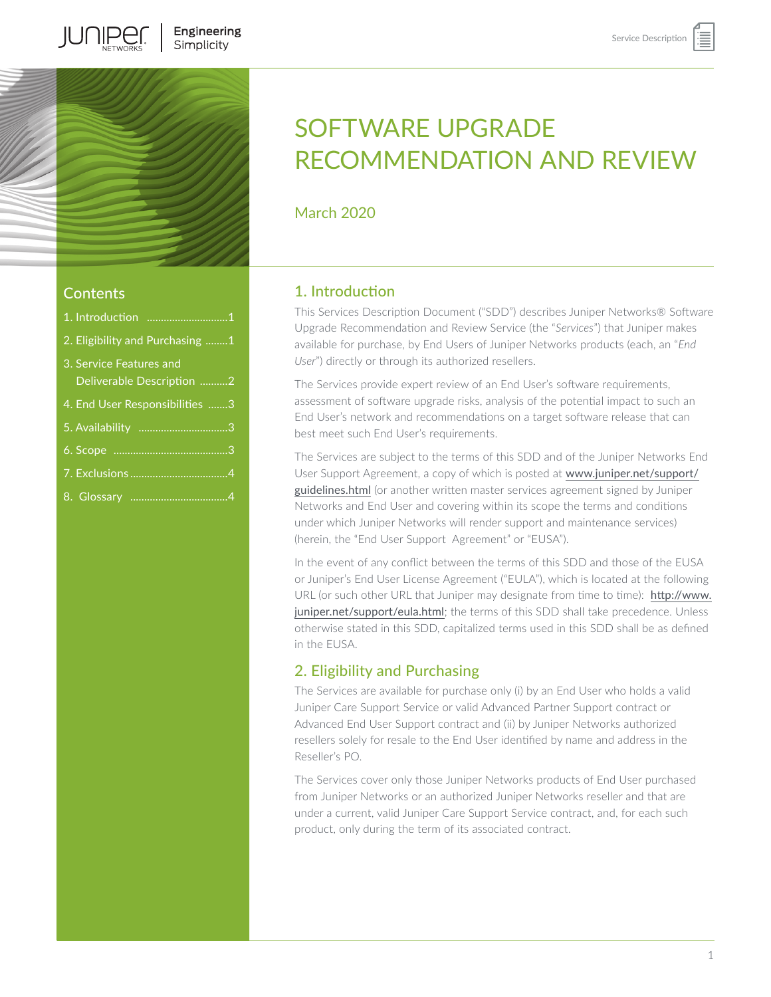

JUNIPER

# Contents

| 1. Introduction 1                                    |
|------------------------------------------------------|
| 2. Eligibility and Purchasing 1                      |
| 3. Service Features and<br>Deliverable Description 2 |
| 4. End User Responsibilities 3                       |
|                                                      |
|                                                      |
|                                                      |
|                                                      |

# SOFTWARE UPGRADE RECOMMENDATION AND REVIEW

March 2020

# 1. Introduction

This Services Description Document ("SDD") describes Juniper Networks® Software Upgrade Recommendation and Review Service (the "*Services*") that Juniper makes available for purchase, by End Users of Juniper Networks products (each, an "*End User*") directly or through its authorized resellers.

The Services provide expert review of an End User's software requirements, assessment of software upgrade risks, analysis of the potential impact to such an End User's network and recommendations on a target software release that can best meet such End User's requirements.

The Services are subject to the terms of this SDD and of the Juniper Networks End User Support Agreement, a copy of which is posted at [www.juniper.net/support/](http://www.juniper.net/support/guidelines.html) [guidelines.html](http://www.juniper.net/support/guidelines.html) (or another written master services agreement signed by Juniper Networks and End User and covering within its scope the terms and conditions under which Juniper Networks will render support and maintenance services) (herein, the "End User Support Agreement" or "EUSA").

In the event of any conflict between the terms of this SDD and those of the EUSA or Juniper's End User License Agreement ("EULA"), which is located at the following URL (or such other URL that Juniper may designate from time to time): [http://www.](http://www.juniper.net/support/eula.html) [juniper.net/support/eula.html](http://www.juniper.net/support/eula.html); the terms of this SDD shall take precedence. Unless otherwise stated in this SDD, capitalized terms used in this SDD shall be as defined in the EUSA.

# 2. Eligibility and Purchasing

The Services are available for purchase only (i) by an End User who holds a valid Juniper Care Support Service or valid Advanced Partner Support contract or Advanced End User Support contract and (ii) by Juniper Networks authorized resellers solely for resale to the End User identified by name and address in the Reseller's PO.

The Services cover only those Juniper Networks products of End User purchased from Juniper Networks or an authorized Juniper Networks reseller and that are under a current, valid Juniper Care Support Service contract, and, for each such product, only during the term of its associated contract.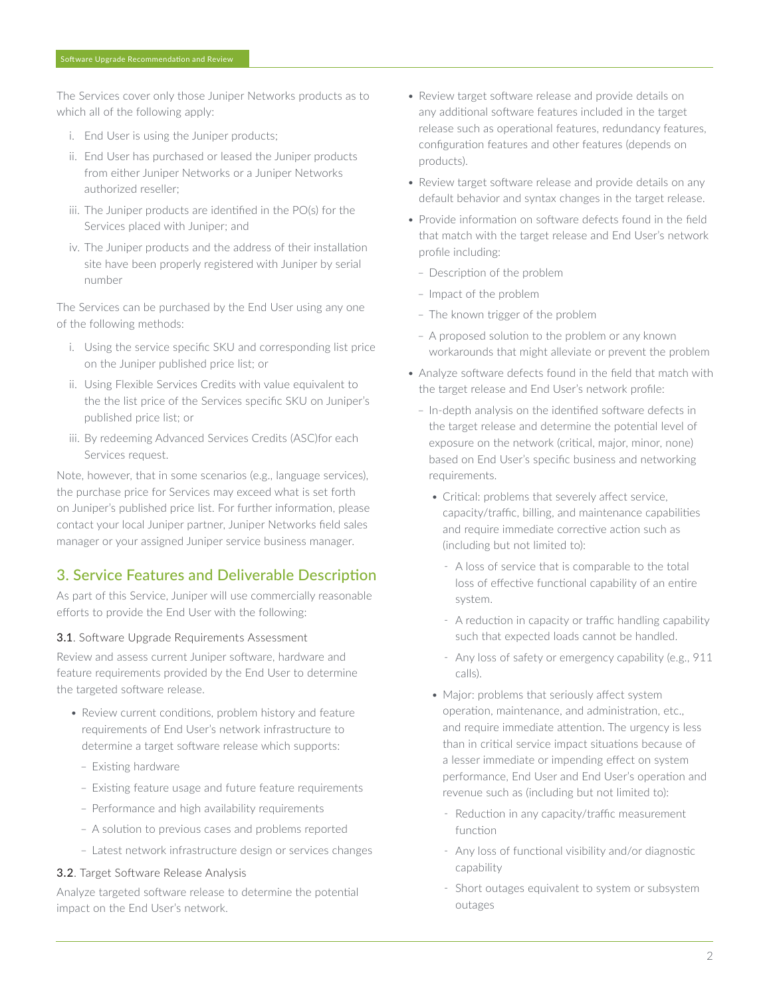<span id="page-1-0"></span>The Services cover only those Juniper Networks products as to which all of the following apply:

- i. End User is using the Juniper products;
- ii. End User has purchased or leased the Juniper products from either Juniper Networks or a Juniper Networks authorized reseller;
- iii. The Juniper products are identified in the PO(s) for the Services placed with Juniper; and
- iv. The Juniper products and the address of their installation site have been properly registered with Juniper by serial number

The Services can be purchased by the End User using any one of the following methods:

- i. Using the service specific SKU and corresponding list price on the Juniper published price list; or
- ii. Using Flexible Services Credits with value equivalent to the the list price of the Services specific SKU on Juniper's published price list; or
- iii. By redeeming Advanced Services Credits (ASC)for each Services request.

Note, however, that in some scenarios (e.g., language services), the purchase price for Services may exceed what is set forth on Juniper's published price list. For further information, please contact your local Juniper partner, Juniper Networks field sales manager or your assigned Juniper service business manager.

# 3. Service Features and Deliverable Description

As part of this Service, Juniper will use commercially reasonable efforts to provide the End User with the following:

#### 3.1. Software Upgrade Requirements Assessment

Review and assess current Juniper software, hardware and feature requirements provided by the End User to determine the targeted software release.

- Review current conditions, problem history and feature requirements of End User's network infrastructure to determine a target software release which supports:
	- Existing hardware
	- Existing feature usage and future feature requirements
	- Performance and high availability requirements
	- A solution to previous cases and problems reported
	- Latest network infrastructure design or services changes

#### 3.2. Target Software Release Analysis

Analyze targeted software release to determine the potential impact on the End User's network.

- Review target software release and provide details on any additional software features included in the target release such as operational features, redundancy features, configuration features and other features (depends on products).
- Review target software release and provide details on any default behavior and syntax changes in the target release.
- Provide information on software defects found in the field that match with the target release and End User's network profile including:
	- Description of the problem
	- Impact of the problem
	- The known trigger of the problem
	- A proposed solution to the problem or any known workarounds that might alleviate or prevent the problem
- Analyze software defects found in the field that match with the target release and End User's network profile:
	- In-depth analysis on the identified software defects in the target release and determine the potential level of exposure on the network (critical, major, minor, none) based on End User's specific business and networking requirements.
		- Critical: problems that severely affect service, capacity/traffic, billing, and maintenance capabilities and require immediate corrective action such as (including but not limited to):
			- A loss of service that is comparable to the total loss of effective functional capability of an entire system.
			- A reduction in capacity or traffic handling capability such that expected loads cannot be handled.
			- Any loss of safety or emergency capability (e.g., 911 calls).
		- Major: problems that seriously affect system operation, maintenance, and administration, etc., and require immediate attention. The urgency is less than in critical service impact situations because of a lesser immediate or impending effect on system performance, End User and End User's operation and revenue such as (including but not limited to):
			- Reduction in any capacity/traffic measurement function
			- Any loss of functional visibility and/or diagnostic capability
			- Short outages equivalent to system or subsystem outages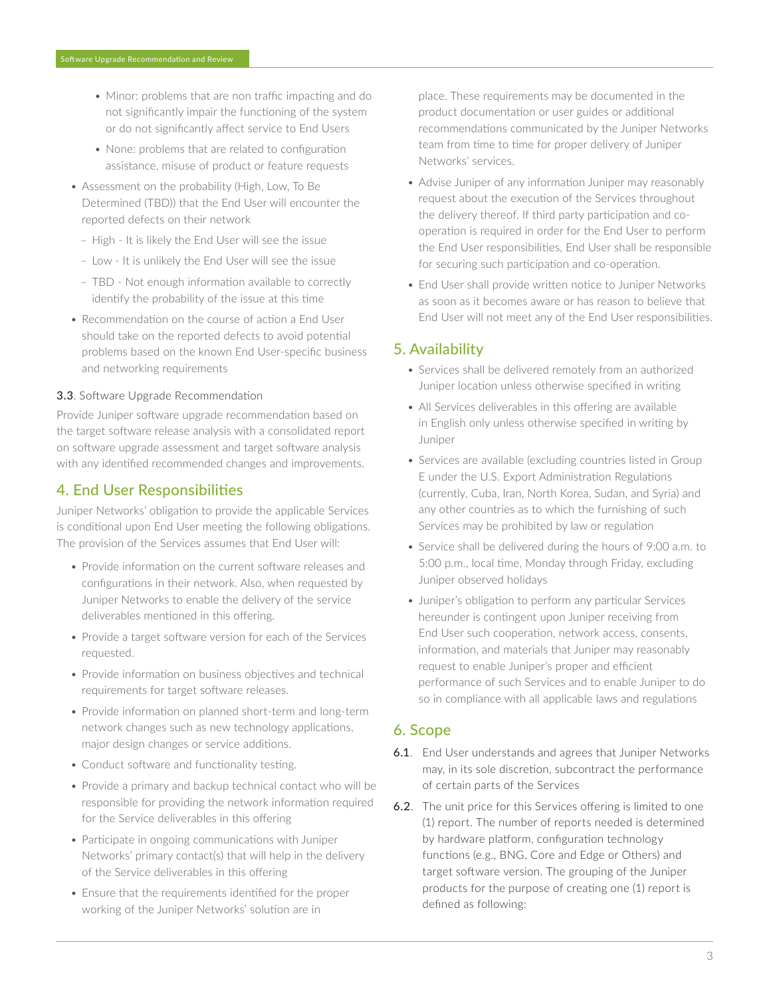- <span id="page-2-0"></span>• Minor: problems that are non traffic impacting and do not significantly impair the functioning of the system or do not significantly affect service to End Users
- None: problems that are related to configuration assistance, misuse of product or feature requests
- Assessment on the probability (High, Low, To Be Determined (TBD)) that the End User will encounter the reported defects on their network
	- High It is likely the End User will see the issue
	- Low It is unlikely the End User will see the issue
	- TBD Not enough information available to correctly identify the probability of the issue at this time
- Recommendation on the course of action a End User should take on the reported defects to avoid potential problems based on the known End User-specific business and networking requirements

#### 3.3. Software Upgrade Recommendation

Provide Juniper software upgrade recommendation based on the target software release analysis with a consolidated report on software upgrade assessment and target software analysis with any identified recommended changes and improvements.

### 4. End User Responsibilities

Juniper Networks' obligation to provide the applicable Services is conditional upon End User meeting the following obligations. The provision of the Services assumes that End User will:

- Provide information on the current software releases and configurations in their network. Also, when requested by Juniper Networks to enable the delivery of the service deliverables mentioned in this offering.
- Provide a target software version for each of the Services requested.
- Provide information on business objectives and technical requirements for target software releases.
- Provide information on planned short-term and long-term network changes such as new technology applications, major design changes or service additions.
- Conduct software and functionality testing.
- Provide a primary and backup technical contact who will be responsible for providing the network information required for the Service deliverables in this offering
- Participate in ongoing communications with Juniper Networks' primary contact(s) that will help in the delivery of the Service deliverables in this offering
- Ensure that the requirements identified for the proper working of the Juniper Networks' solution are in

place. These requirements may be documented in the product documentation or user guides or additional recommendations communicated by the Juniper Networks team from time to time for proper delivery of Juniper Networks' services.

- Advise Juniper of any information Juniper may reasonably request about the execution of the Services throughout the delivery thereof. If third party participation and cooperation is required in order for the End User to perform the End User responsibilities, End User shall be responsible for securing such participation and co-operation.
- End User shall provide written notice to Juniper Networks as soon as it becomes aware or has reason to believe that End User will not meet any of the End User responsibilities.

# 5. Availability

- Services shall be delivered remotely from an authorized Juniper location unless otherwise specified in writing
- All Services deliverables in this offering are available in English only unless otherwise specified in writing by Juniper
- Services are available (excluding countries listed in Group E under the U.S. Export Administration Regulations (currently, Cuba, Iran, North Korea, Sudan, and Syria) and any other countries as to which the furnishing of such Services may be prohibited by law or regulation
- Service shall be delivered during the hours of 9:00 a.m. to 5:00 p.m., local time, Monday through Friday, excluding Juniper observed holidays
- Juniper's obligation to perform any particular Services hereunder is contingent upon Juniper receiving from End User such cooperation, network access, consents, information, and materials that Juniper may reasonably request to enable Juniper's proper and efficient performance of such Services and to enable Juniper to do so in compliance with all applicable laws and regulations

#### 6. Scope

- 6.1. End User understands and agrees that Juniper Networks may, in its sole discretion, subcontract the performance of certain parts of the Services
- 6.2. The unit price for this Services offering is limited to one (1) report. The number of reports needed is determined by hardware platform, configuration technology functions (e.g., BNG, Core and Edge or Others) and target software version. The grouping of the Juniper products for the purpose of creating one (1) report is defined as following: